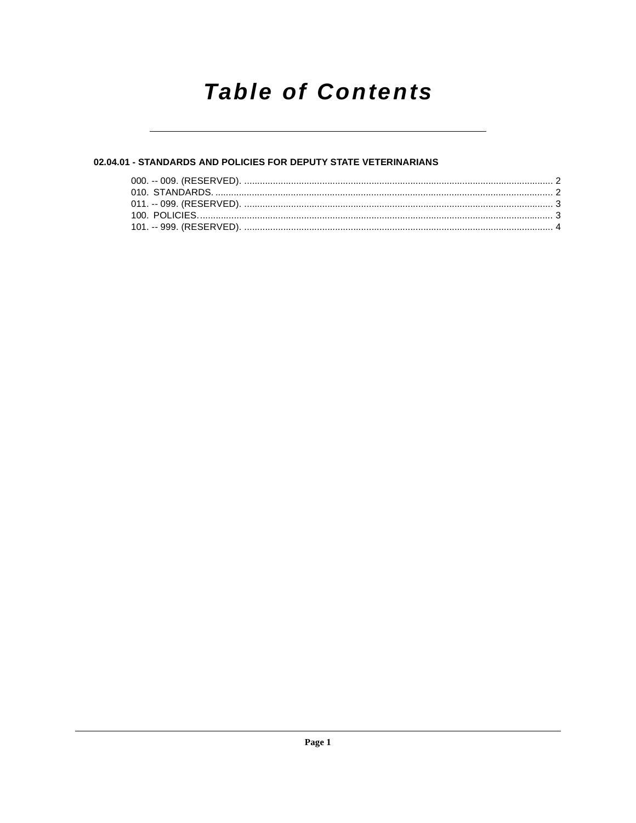# **Table of Contents**

# 02.04.01 - STANDARDS AND POLICIES FOR DEPUTY STATE VETERINARIANS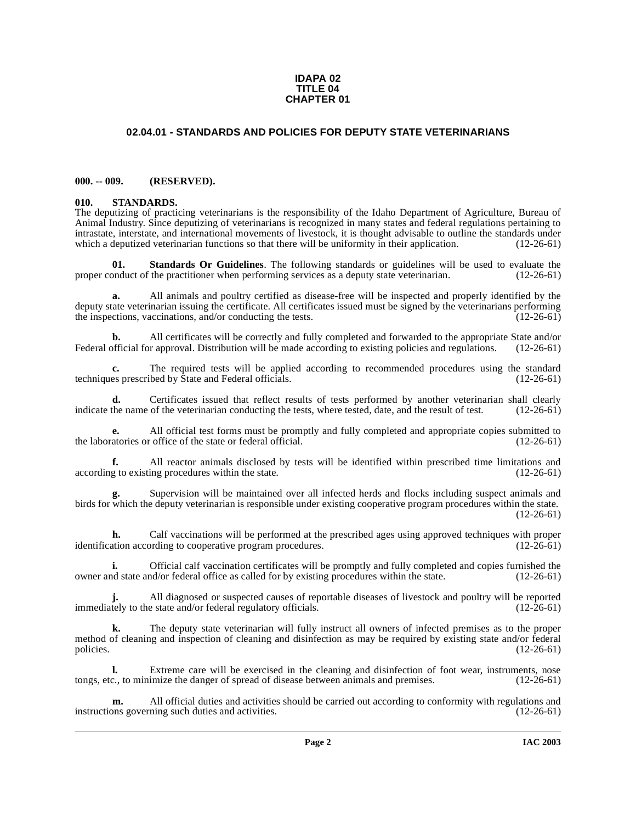#### **IDAPA 02 TITLE 04 CHAPTER 01**

# **02.04.01 - STANDARDS AND POLICIES FOR DEPUTY STATE VETERINARIANS**

#### <span id="page-1-1"></span><span id="page-1-0"></span>**000. -- 009. (RESERVED).**

#### <span id="page-1-4"></span><span id="page-1-2"></span>**010. STANDARDS.**

The deputizing of practicing veterinarians is the responsibility of the Idaho Department of Agriculture, Bureau of Animal Industry. Since deputizing of veterinarians is recognized in many states and federal regulations pertaining to intrastate, interstate, and international movements of livestock, it is thought advisable to outline the standards under which a deputized veterinarian functions so that there will be uniformity in their application. (12-26-61)

<span id="page-1-3"></span>**01. Standards Or Guidelines**. The following standards or guidelines will be used to evaluate the practitioner when performing services as a deputy state veterinarian. (12-26-61) proper conduct of the practitioner when performing services as a deputy state veterinarian.

**a.** All animals and poultry certified as disease-free will be inspected and properly identified by the deputy state veterinarian issuing the certificate. All certificates issued must be signed by the veterinarians performing the inspections, vaccinations, and/or conducting the tests. (12-26-61)

**b.** All certificates will be correctly and fully completed and forwarded to the appropriate State and/or official for approval. Distribution will be made according to existing policies and regulations. (12-26-61) Federal official for approval. Distribution will be made according to existing policies and regulations.

**c.** The required tests will be applied according to recommended procedures using the standard es prescribed by State and Federal officials. (12-26-61) techniques prescribed by State and Federal officials.

**d.** Certificates issued that reflect results of tests performed by another veterinarian shall clearly the name of the veterinarian conducting the tests, where tested, date, and the result of test. (12-26-61) indicate the name of the veterinarian conducting the tests, where tested, date, and the result of test.

**e.** All official test forms must be promptly and fully completed and appropriate copies submitted to atories or office of the state or federal official. (12-26-61) the laboratories or office of the state or federal official.

**f.** All reactor animals disclosed by tests will be identified within prescribed time limitations and g to existing procedures within the state. (12-26-61) according to existing procedures within the state.

**g.** Supervision will be maintained over all infected herds and flocks including suspect animals and birds for which the deputy veterinarian is responsible under existing cooperative program procedures within the state. (12-26-61)

**h.** Calf vaccinations will be performed at the prescribed ages using approved techniques with proper identification according to cooperative program procedures. (12-26-61)

**i.** Official calf vaccination certificates will be promptly and fully completed and copies furnished the nd state and/or federal office as called for by existing procedures within the state. (12-26-61) owner and state and/or federal office as called for by existing procedures within the state.

All diagnosed or suspected causes of reportable diseases of livestock and poultry will be reported<br>e state and/or federal regulatory officials. (12-26-61) **j.** All diagnosed or suspected causes or reprendiately to the state and/or federal regulatory officials.

**k.** The deputy state veterinarian will fully instruct all owners of infected premises as to the proper method of cleaning and inspection of cleaning and disinfection as may be required by existing state and/or federal policies. (12-26-61)

**l.** Extreme care will be exercised in the cleaning and disinfection of foot wear, instruments, nose c., to minimize the danger of spread of disease between animals and premises. (12-26-61) tongs, etc., to minimize the danger of spread of disease between animals and premises.

**m.** All official duties and activities should be carried out according to conformity with regulations and not governing such duties and activities. instructions governing such duties and activities.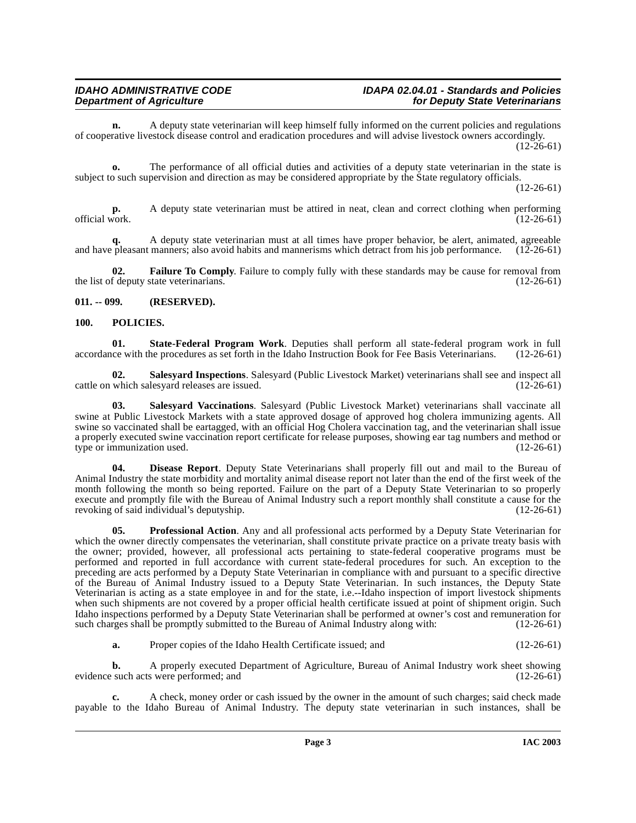**n.** A deputy state veterinarian will keep himself fully informed on the current policies and regulations of cooperative livestock disease control and eradication procedures and will advise livestock owners accordingly.  $(12-26-61)$ 

**o.** The performance of all official duties and activities of a deputy state veterinarian in the state is subject to such supervision and direction as may be considered appropriate by the State regulatory officials.

 $(12-26-61)$ 

**p.** A deputy state veterinarian must be attired in neat, clean and correct clothing when performing official work. (12-26-61) official work.  $(12-26-61)$ 

A deputy state veterinarian must at all times have proper behavior, be alert, animated, agreeable manners: also avoid habits and mannerisms which detract from his job performance. (12-26-61) and have pleasant manners; also avoid habits and mannerisms which detract from his job performance.

<span id="page-2-3"></span>**02. Failure To Comply**. Failure to comply fully with these standards may be cause for removal from f deputy state veterinarians. (12-26-61) the list of deputy state veterinarians.

### <span id="page-2-0"></span>**011. -- 099. (RESERVED).**

## <span id="page-2-4"></span><span id="page-2-1"></span>**100. POLICIES.**

<span id="page-2-8"></span>**01.** State-Federal Program Work. Deputies shall perform all state-federal program work in full ce with the procedures as set forth in the Idaho Instruction Book for Fee Basis Veterinarians. (12-26-61) accordance with the procedures as set forth in the Idaho Instruction Book for Fee Basis Veterinarians.

<span id="page-2-6"></span>**02. Salesyard Inspections**. Salesyard (Public Livestock Market) veterinarians shall see and inspect all cattle on which salesyard releases are issued.

<span id="page-2-7"></span>**03. Salesyard Vaccinations**. Salesyard (Public Livestock Market) veterinarians shall vaccinate all swine at Public Livestock Markets with a state approved dosage of approved hog cholera immunizing agents. All swine so vaccinated shall be eartagged, with an official Hog Cholera vaccination tag, and the veterinarian shall issue a properly executed swine vaccination report certificate for release purposes, showing ear tag numbers and method or type or immunization used. (12-26-61) type or immunization used.

<span id="page-2-2"></span>**04. Disease Report**. Deputy State Veterinarians shall properly fill out and mail to the Bureau of Animal Industry the state morbidity and mortality animal disease report not later than the end of the first week of the month following the month so being reported. Failure on the part of a Deputy State Veterinarian to so properly execute and promptly file with the Bureau of Animal Industry such a report monthly shall constitute a cause for the revoking of said individual's deputyship. (12-26-61) revoking of said individual's deputyship.

<span id="page-2-5"></span>**05. Professional Action**. Any and all professional acts performed by a Deputy State Veterinarian for which the owner directly compensates the veterinarian, shall constitute private practice on a private treaty basis with the owner; provided, however, all professional acts pertaining to state-federal cooperative programs must be performed and reported in full accordance with current state-federal procedures for such. An exception to the preceding are acts performed by a Deputy State Veterinarian in compliance with and pursuant to a specific directive of the Bureau of Animal Industry issued to a Deputy State Veterinarian. In such instances, the Deputy State Veterinarian is acting as a state employee in and for the state, i.e.--Idaho inspection of import livestock shipments when such shipments are not covered by a proper official health certificate issued at point of shipment origin. Such Idaho inspections performed by a Deputy State Veterinarian shall be performed at owner's cost and remuneration for such charges shall be promptly submitted to the Bureau of Animal Industry along with: (12-26-61)

| а. | Proper copies of the Idaho Health Certificate issued; and | $(12-26-61)$ |
|----|-----------------------------------------------------------|--------------|
|----|-----------------------------------------------------------|--------------|

**b.** A properly executed Department of Agriculture, Bureau of Animal Industry work sheet showing such acts were performed: and (12-26-61) evidence such acts were performed; and

**c.** A check, money order or cash issued by the owner in the amount of such charges; said check made payable to the Idaho Bureau of Animal Industry. The deputy state veterinarian in such instances, shall be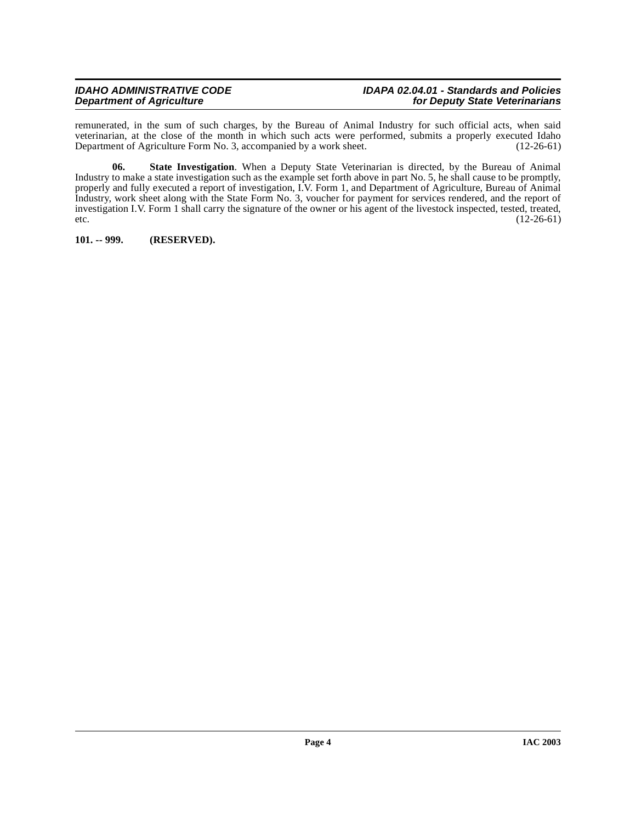#### **IDAHO ADMINISTRATIVE CODE IDAPA 02.04.01 - Standards and Policies for Deputy State Veterinarians**

remunerated, in the sum of such charges, by the Bureau of Animal Industry for such official acts, when said veterinarian, at the close of the month in which such acts were performed, submits a properly executed Idaho<br>Department of Agriculture Form No. 3, accompanied by a work sheet. (12-26-61) Department of Agriculture Form No. 3, accompanied by a work sheet.

<span id="page-3-1"></span>**06. State Investigation**. When a Deputy State Veterinarian is directed, by the Bureau of Animal Industry to make a state investigation such as the example set forth above in part No. 5, he shall cause to be promptly, properly and fully executed a report of investigation, I.V. Form 1, and Department of Agriculture, Bureau of Animal Industry, work sheet along with the State Form No. 3, voucher for payment for services rendered, and the report of investigation I.V. Form 1 shall carry the signature of the owner or his agent of the livestock inspected, tested, treated, etc.  $(12-26-61)$ 

<span id="page-3-0"></span>**101. -- 999. (RESERVED).**